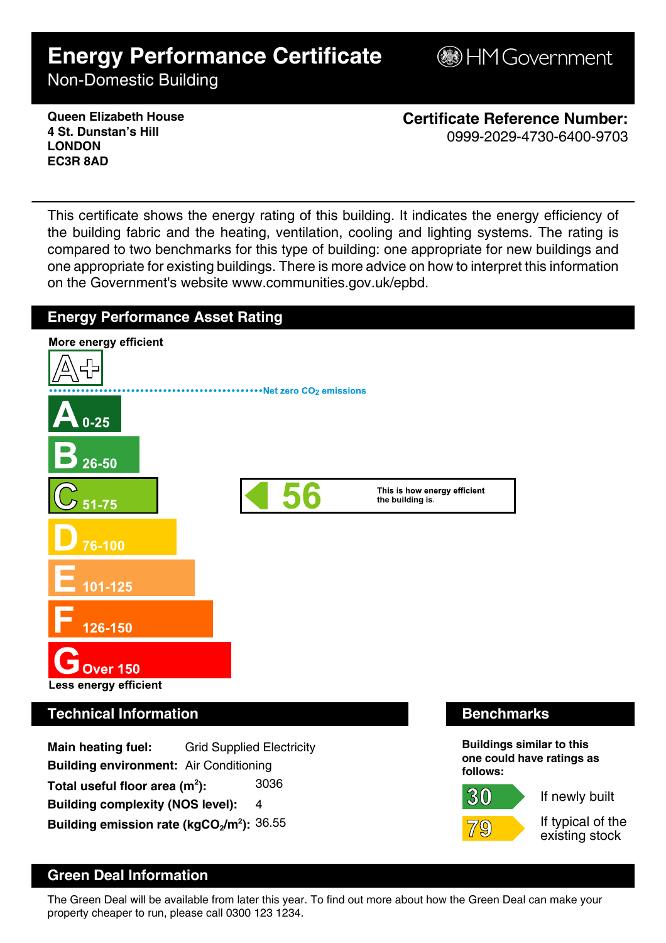# **Energy Performance Certificate**

**B**HM Government

Non-Domestic Building

**Queen Elizabeth House 4 St. Dunstan's Hill LONDON EC3R 8AD**

**Certificate Reference Number:** 0999-2029-4730-6400-9703

This certificate shows the energy rating of this building. It indicates the energy efficiency of the building fabric and the heating, ventilation, cooling and lighting systems. The rating is compared to two benchmarks for this type of building: one appropriate for new buildings and one appropriate for existing buildings. There is more advice on how to interpret this information on the Government's website www.communities.gov.uk/epbd.



### **Green Deal Information**

The Green Deal will be available from later this year. To find out more about how the Green Deal can make your property cheaper to run, please call 0300 123 1234.